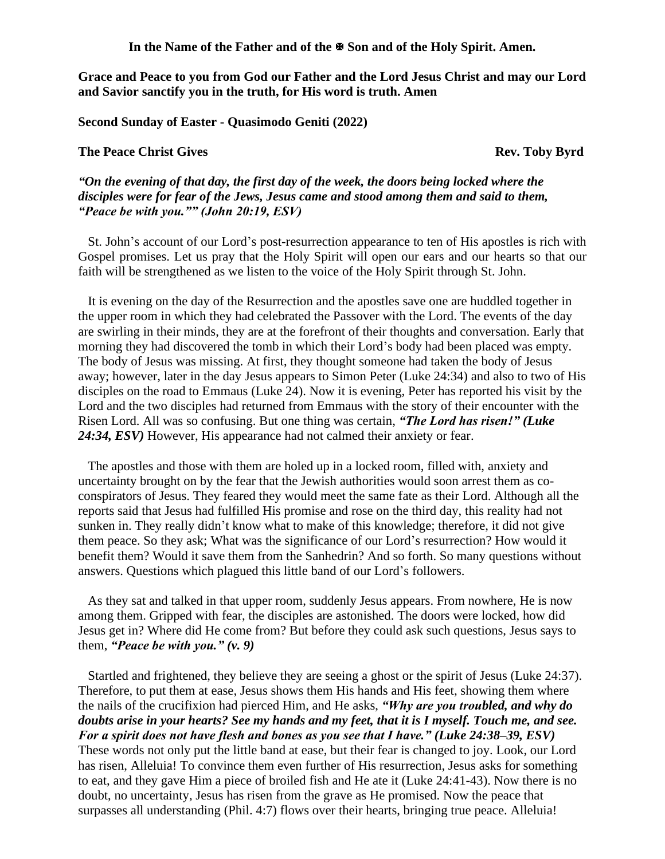In the Name of the Father and of the  $\mathbb{F}$  Son and of the Holy Spirit. Amen.

**Grace and Peace to you from God our Father and the Lord Jesus Christ and may our Lord and Savior sanctify you in the truth, for His word is truth. Amen**

**Second Sunday of Easter - Quasimodo Geniti (2022)** 

## **The Peace Christ Gives All 2008 Controlled Except All 2009 Rev. Toby Byrd**

*"On the evening of that day, the first day of the week, the doors being locked where the disciples were for fear of the Jews, Jesus came and stood among them and said to them, "Peace be with you."" (John 20:19, ESV)* 

St. John's account of our Lord's post-resurrection appearance to ten of His apostles is rich with Gospel promises. Let us pray that the Holy Spirit will open our ears and our hearts so that our faith will be strengthened as we listen to the voice of the Holy Spirit through St. John.

It is evening on the day of the Resurrection and the apostles save one are huddled together in the upper room in which they had celebrated the Passover with the Lord. The events of the day are swirling in their minds, they are at the forefront of their thoughts and conversation. Early that morning they had discovered the tomb in which their Lord's body had been placed was empty. The body of Jesus was missing. At first, they thought someone had taken the body of Jesus away; however, later in the day Jesus appears to Simon Peter (Luke 24:34) and also to two of His disciples on the road to Emmaus (Luke 24). Now it is evening, Peter has reported his visit by the Lord and the two disciples had returned from Emmaus with the story of their encounter with the Risen Lord. All was so confusing. But one thing was certain, *"The Lord has risen!" (Luke 24:34, ESV)* However, His appearance had not calmed their anxiety or fear.

The apostles and those with them are holed up in a locked room, filled with, anxiety and uncertainty brought on by the fear that the Jewish authorities would soon arrest them as coconspirators of Jesus. They feared they would meet the same fate as their Lord. Although all the reports said that Jesus had fulfilled His promise and rose on the third day, this reality had not sunken in. They really didn't know what to make of this knowledge; therefore, it did not give them peace. So they ask; What was the significance of our Lord's resurrection? How would it benefit them? Would it save them from the Sanhedrin? And so forth. So many questions without answers. Questions which plagued this little band of our Lord's followers.

As they sat and talked in that upper room, suddenly Jesus appears. From nowhere, He is now among them. Gripped with fear, the disciples are astonished. The doors were locked, how did Jesus get in? Where did He come from? But before they could ask such questions, Jesus says to them, *"Peace be with you." (v. 9)*

Startled and frightened, they believe they are seeing a ghost or the spirit of Jesus (Luke 24:37). Therefore, to put them at ease, Jesus shows them His hands and His feet, showing them where the nails of the crucifixion had pierced Him, and He asks, *"Why are you troubled, and why do doubts arise in your hearts? See my hands and my feet, that it is I myself. Touch me, and see. For a spirit does not have flesh and bones as you see that I have." (Luke 24:38–39, ESV)*

These words not only put the little band at ease, but their fear is changed to joy. Look, our Lord has risen, Alleluia! To convince them even further of His resurrection, Jesus asks for something to eat, and they gave Him a piece of broiled fish and He ate it (Luke 24:41-43). Now there is no doubt, no uncertainty, Jesus has risen from the grave as He promised. Now the peace that surpasses all understanding (Phil. 4:7) flows over their hearts, bringing true peace. Alleluia!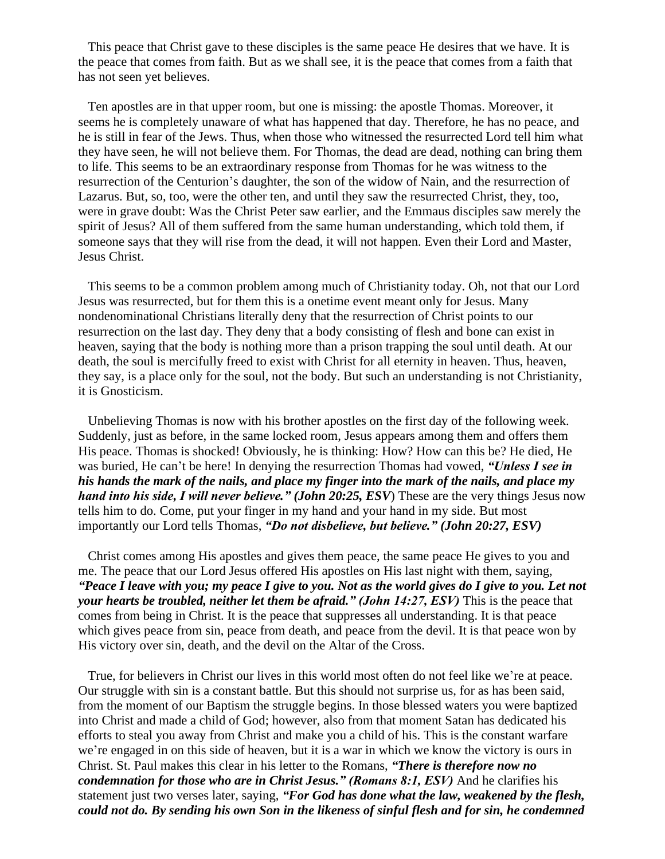This peace that Christ gave to these disciples is the same peace He desires that we have. It is the peace that comes from faith. But as we shall see, it is the peace that comes from a faith that has not seen yet believes.

Ten apostles are in that upper room, but one is missing: the apostle Thomas. Moreover, it seems he is completely unaware of what has happened that day. Therefore, he has no peace, and he is still in fear of the Jews. Thus, when those who witnessed the resurrected Lord tell him what they have seen, he will not believe them. For Thomas, the dead are dead, nothing can bring them to life. This seems to be an extraordinary response from Thomas for he was witness to the resurrection of the Centurion's daughter, the son of the widow of Nain, and the resurrection of Lazarus. But, so, too, were the other ten, and until they saw the resurrected Christ, they, too, were in grave doubt: Was the Christ Peter saw earlier, and the Emmaus disciples saw merely the spirit of Jesus? All of them suffered from the same human understanding, which told them, if someone says that they will rise from the dead, it will not happen. Even their Lord and Master, Jesus Christ.

This seems to be a common problem among much of Christianity today. Oh, not that our Lord Jesus was resurrected, but for them this is a onetime event meant only for Jesus. Many nondenominational Christians literally deny that the resurrection of Christ points to our resurrection on the last day. They deny that a body consisting of flesh and bone can exist in heaven, saying that the body is nothing more than a prison trapping the soul until death. At our death, the soul is mercifully freed to exist with Christ for all eternity in heaven. Thus, heaven, they say, is a place only for the soul, not the body. But such an understanding is not Christianity, it is Gnosticism.

Unbelieving Thomas is now with his brother apostles on the first day of the following week. Suddenly, just as before, in the same locked room, Jesus appears among them and offers them His peace. Thomas is shocked! Obviously, he is thinking: How? How can this be? He died, He was buried, He can't be here! In denying the resurrection Thomas had vowed, *"Unless I see in his hands the mark of the nails, and place my finger into the mark of the nails, and place my hand into his side, I will never believe." (John 20:25, ESV*) These are the very things Jesus now tells him to do. Come, put your finger in my hand and your hand in my side. But most importantly our Lord tells Thomas, *"Do not disbelieve, but believe." (John 20:27, ESV)*

Christ comes among His apostles and gives them peace, the same peace He gives to you and me. The peace that our Lord Jesus offered His apostles on His last night with them, saying, *"Peace I leave with you; my peace I give to you. Not as the world gives do I give to you. Let not your hearts be troubled, neither let them be afraid." (John 14:27, ESV)* This is the peace that comes from being in Christ. It is the peace that suppresses all understanding. It is that peace which gives peace from sin, peace from death, and peace from the devil. It is that peace won by His victory over sin, death, and the devil on the Altar of the Cross.

True, for believers in Christ our lives in this world most often do not feel like we're at peace. Our struggle with sin is a constant battle. But this should not surprise us, for as has been said, from the moment of our Baptism the struggle begins. In those blessed waters you were baptized into Christ and made a child of God; however, also from that moment Satan has dedicated his efforts to steal you away from Christ and make you a child of his. This is the constant warfare we're engaged in on this side of heaven, but it is a war in which we know the victory is ours in Christ. St. Paul makes this clear in his letter to the Romans, *"There is therefore now no condemnation for those who are in Christ Jesus." (Romans 8:1, ESV)* And he clarifies his statement just two verses later, saying, *"For God has done what the law, weakened by the flesh, could not do. By sending his own Son in the likeness of sinful flesh and for sin, he condemned*